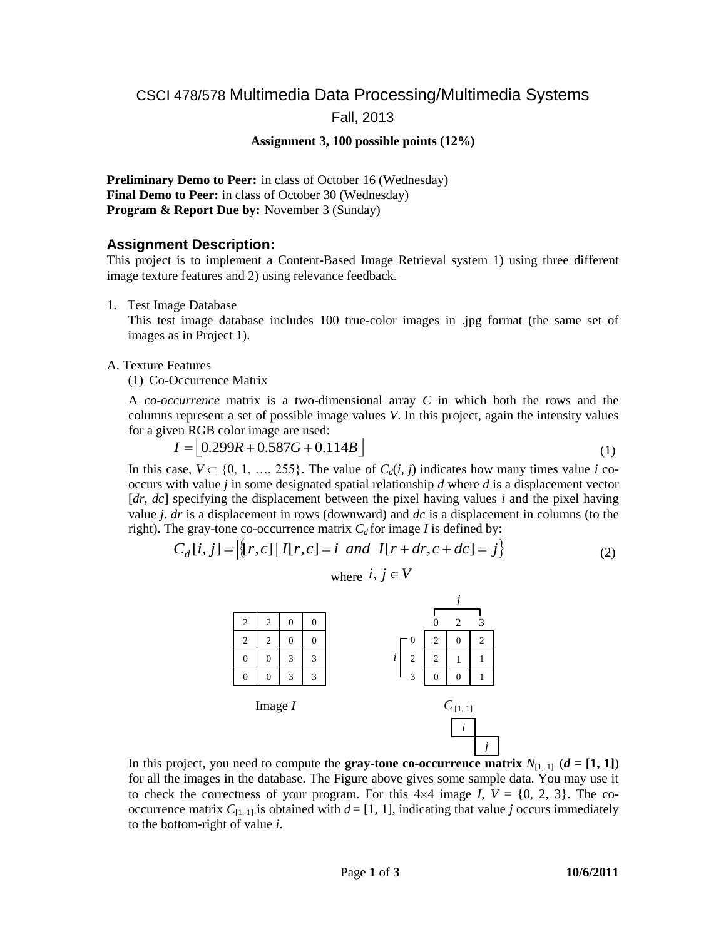# CSCI 478/578 Multimedia Data Processing/Multimedia Systems Fall, 2013

## **Assignment 3, 100 possible points (12%)**

**Preliminary Demo to Peer:** in class of October 16 (Wednesday) **Final Demo to Peer:** in class of October 30 (Wednesday) **Program & Report Due by:** November 3 (Sunday)

## **Assignment Description:**

This project is to implement a Content-Based Image Retrieval system 1) using three different image texture features and 2) using relevance feedback.

1. Test Image Database

This test image database includes 100 true-color images in .jpg format (the same set of images as in Project 1).

## A. Texture Features

(1) Co-Occurrence Matrix

A *co*-*occurrence* matrix is a two-dimensional array *C* in which both the rows and the columns represent a set of possible image values *V*. In this project, again the intensity values for a given RGB color image are used:

$$
I = \lfloor 0.299R + 0.587G + 0.114B \rfloor \tag{1}
$$

In this case,  $V \subseteq \{0, 1, ..., 255\}$ . The value of  $C_d(i, j)$  indicates how many times value *i* cooccurs with value *j* in some designated spatial relationship *d* where *d* is a displacement vector [*dr*, *dc*] specifying the displacement between the pixel having values *i* and the pixel having value *j*. *dr* is a displacement in rows (downward) and *dc* is a displacement in columns (to the right). The gray-tone co-occurrence matrix  $C_d$  for image *I* is defined by:

$$
C_d[i, j] = |\{ [r, c] | I[r, c] = i \ and \ I[r + dr, c + dc] = j \}
$$
\n(2)

where  $i, j \in V$ 



In this project, you need to compute the **gray-tone co-occurrence matrix**  $N_{[1, 1]}$  ( $d = [1, 1]$ ) for all the images in the database. The Figure above gives some sample data. You may use it to check the correctness of your program. For this  $4\times 4$  image *I*,  $V = \{0, 2, 3\}$ . The cooccurrence matrix  $C_{[1, 1]}$  is obtained with  $d = [1, 1]$ , indicating that value *j* occurs immediately to the bottom-right of value *i*.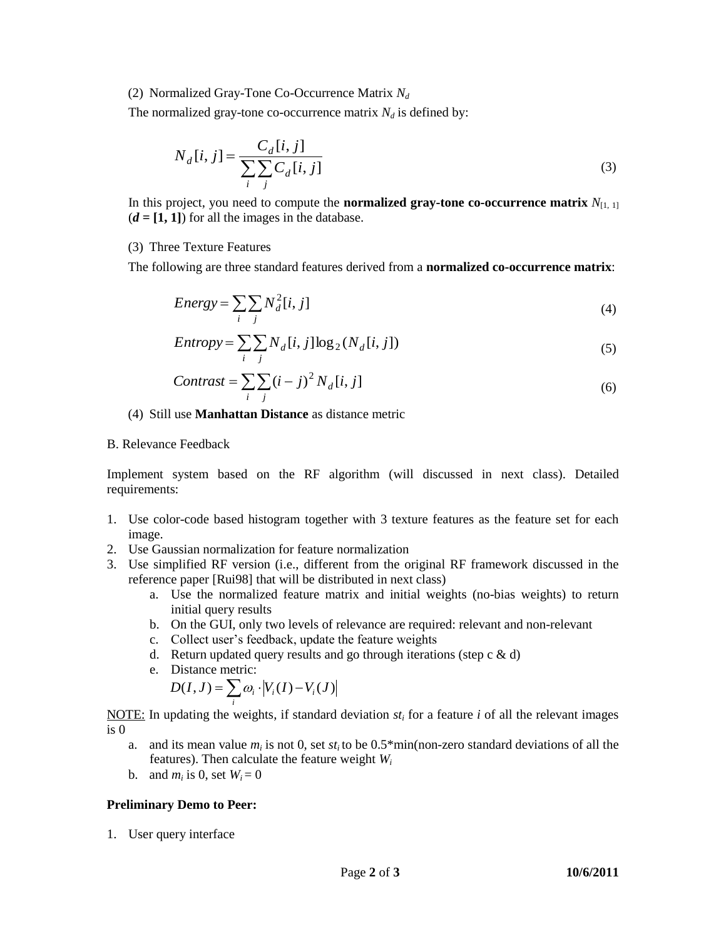#### (2) Normalized Gray-Tone Co-Occurrence Matrix *N<sup>d</sup>*

The normalized gray-tone co-occurrence matrix  $N_d$  is defined by:

$$
N_d[i, j] = \frac{C_d[i, j]}{\sum_{i} \sum_{j} C_d[i, j]}
$$
\n
$$
(3)
$$

In this project, you need to compute the **normalized gray-tone co-occurrence matrix**  $N_{[1, 1]}$  $(d = [1, 1])$  for all the images in the database.

### (3) Three Texture Features

The following are three standard features derived from a **normalized co-occurrence matrix**:

$$
Energy = \sum_{i} \sum_{j} N_d^2 [i, j] \tag{4}
$$

$$
Entropy = \sum_{i} \sum_{j} N_d[i, j] \log_2(N_d[i, j])
$$
\n(5)

$$
Contrast = \sum_{i} \sum_{j} (i - j)^2 N_d[i, j]
$$
\n(6)

#### (4) Still use **Manhattan Distance** as distance metric

#### B. Relevance Feedback

Implement system based on the RF algorithm (will discussed in next class). Detailed requirements:

- 1. Use color-code based histogram together with 3 texture features as the feature set for each image.
- 2. Use Gaussian normalization for feature normalization
- 3. Use simplified RF version (i.e., different from the original RF framework discussed in the reference paper [Rui98] that will be distributed in next class)
	- a. Use the normalized feature matrix and initial weights (no-bias weights) to return initial query results
	- b. On the GUI, only two levels of relevance are required: relevant and non-relevant
	- c. Collect user's feedback, update the feature weights
	- d. Return updated query results and go through iterations (step  $c \& d$ )
	- e. Distance metric:

$$
D(I, J) = \sum_{i} \omega_i \cdot \left| V_i(I) - V_i(J) \right|
$$

NOTE: In updating the weights, if standard deviation  $st_i$  for a feature  $i$  of all the relevant images is 0

- a. and its mean value  $m_i$  is not 0, set  $st_i$  to be 0.5<sup>\*</sup>min(non-zero standard deviations of all the features). Then calculate the feature weight *W<sup>i</sup>*
- b. and  $m_i$  is 0, set  $W_i = 0$

#### **Preliminary Demo to Peer:**

1. User query interface